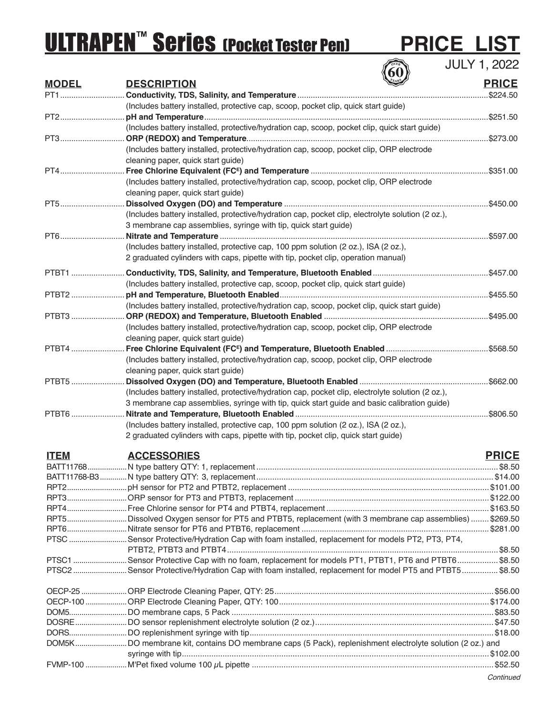# **ULTRAPEN<sup>TM</sup> Series (Pocket Tester Pen) PRICE LIST**<br> **EXPORTMENTED SERIES** (POCKET TESTER THE PRICE LIST

JULY 1, 2022

| <b>MODEL</b>  | VV<br><b>DESCRIPTION</b>                                                                                 | <b>PRICE</b> |
|---------------|----------------------------------------------------------------------------------------------------------|--------------|
| PT1           |                                                                                                          | \$224.50     |
|               | (Includes battery installed, protective cap, scoop, pocket clip, quick start guide)                      |              |
|               |                                                                                                          |              |
|               | (Includes battery installed, protective/hydration cap, scoop, pocket clip, quick start guide)            |              |
| PT3           |                                                                                                          |              |
|               | (Includes battery installed, protective/hydration cap, scoop, pocket clip, ORP electrode                 |              |
|               | cleaning paper, quick start guide)                                                                       |              |
| PT4           |                                                                                                          |              |
|               | (Includes battery installed, protective/hydration cap, scoop, pocket clip, ORP electrode                 |              |
|               | cleaning paper, quick start guide)                                                                       |              |
| PT5           |                                                                                                          |              |
|               | (Includes battery installed, protective/hydration cap, pocket clip, electrolyte solution (2 oz.),        |              |
|               | 3 membrane cap assemblies, syringe with tip, quick start guide)                                          |              |
| PT6           |                                                                                                          | \$597.00     |
|               | (Includes battery installed, protective cap, 100 ppm solution (2 oz.), ISA (2 oz.),                      |              |
|               | 2 graduated cylinders with caps, pipette with tip, pocket clip, operation manual)                        |              |
|               |                                                                                                          |              |
| PTBT1         |                                                                                                          |              |
|               | (Includes battery installed, protective cap, scoop, pocket clip, quick start guide)                      |              |
| PTBT2         |                                                                                                          |              |
|               | (Includes battery installed, protective/hydration cap, scoop, pocket clip, quick start guide)            |              |
| PTBT3         |                                                                                                          |              |
|               | (Includes battery installed, protective/hydration cap, scoop, pocket clip, ORP electrode                 |              |
|               | cleaning paper, quick start guide)                                                                       |              |
| PTBT4         |                                                                                                          |              |
|               | (Includes battery installed, protective/hydration cap, scoop, pocket clip, ORP electrode                 |              |
|               | cleaning paper, quick start guide)                                                                       |              |
| PTBT5         |                                                                                                          |              |
|               | (Includes battery installed, protective/hydration cap, pocket clip, electrolyte solution (2 oz.),        |              |
|               | 3 membrane cap assemblies, syringe with tip, quick start guide and basic calibration guide)              |              |
| PTBT6         |                                                                                                          |              |
|               | (Includes battery installed, protective cap, 100 ppm solution (2 oz.), ISA (2 oz.),                      |              |
|               | 2 graduated cylinders with caps, pipette with tip, pocket clip, quick start guide)                       |              |
|               |                                                                                                          |              |
| <b>ITEM</b>   | <b>ACCESSORIES</b>                                                                                       | <b>PRICE</b> |
|               |                                                                                                          |              |
| BATT11768-B3. | N type battery QTY: 3, replacement.                                                                      | \$14.00      |
|               |                                                                                                          |              |
|               |                                                                                                          |              |
|               |                                                                                                          |              |
|               | RPT5Dissolved Oxygen sensor for PT5 and PTBT5, replacement (with 3 membrane cap assemblies)  \$269.50    |              |
|               |                                                                                                          |              |
|               | PTSC Sensor Protective/Hydration Cap with foam installed, replacement for models PT2, PT3, PT4,          |              |
|               |                                                                                                          |              |
|               | PTSC1 Sensor Protective Cap with no foam, replacement for models PT1, PTBT1, PT6 and PTBT6\$8.50         |              |
|               | PTSC2 Sensor Protective/Hydration Cap with foam installed, replacement for model PT5 and PTBT5  \$8.50   |              |
|               |                                                                                                          |              |
|               |                                                                                                          |              |
|               |                                                                                                          |              |
|               |                                                                                                          |              |
|               |                                                                                                          |              |
|               | DOM5KDO membrane kit, contains DO membrane caps (5 Pack), replenishment electrolyte solution (2 oz.) and |              |
|               |                                                                                                          |              |
|               |                                                                                                          |              |
|               |                                                                                                          |              |